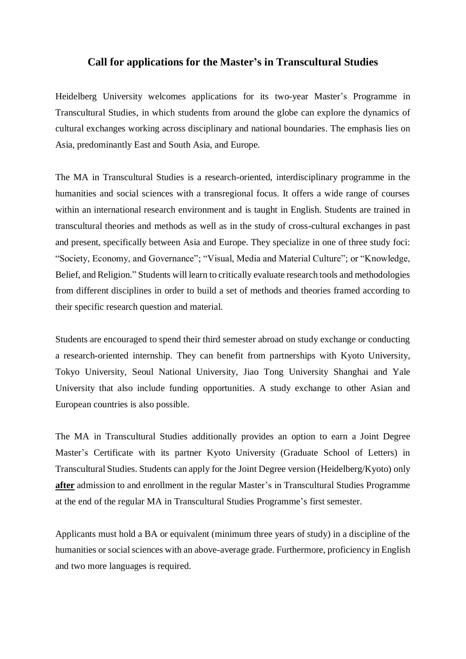## **Call for applications for the Master's in Transcultural Studies**

Heidelberg University welcomes applications for its two-year Master's Programme in Transcultural Studies, in which students from around the globe can explore the dynamics of cultural exchanges working across disciplinary and national boundaries. The emphasis lies on Asia, predominantly East and South Asia, and Europe.

The MA in Transcultural Studies is a research-oriented, interdisciplinary programme in the humanities and social sciences with a transregional focus. It offers a wide range of courses within an international research environment and is taught in English. Students are trained in transcultural theories and methods as well as in the study of cross-cultural exchanges in past and present, specifically between Asia and Europe. They specialize in one of three study foci: "Society, Economy, and Governance"; "Visual, Media and Material Culture"; or "Knowledge, Belief, and Religion." Students will learn to critically evaluate research tools and methodologies from different disciplines in order to build a set of methods and theories framed according to their specific research question and material.

Students are encouraged to spend their third semester abroad on study exchange or conducting a research-oriented internship. They can benefit from partnerships with Kyoto University, Tokyo University, Seoul National University, Jiao Tong University Shanghai and Yale University that also include funding opportunities. A study exchange to other Asian and European countries is also possible.

The MA in Transcultural Studies additionally provides an option to earn a Joint Degree Master's Certificate with its partner Kyoto University (Graduate School of Letters) in Transcultural Studies. Students can apply for the Joint Degree version (Heidelberg/Kyoto) only **after** admission to and enrollment in the regular Master's in Transcultural Studies Programme at the end of the regular MA in Transcultural Studies Programme's first semester.

Applicants must hold a BA or equivalent (minimum three years of study) in a discipline of the humanities or social sciences with an above-average grade. Furthermore, proficiency in English and two more languages is required.